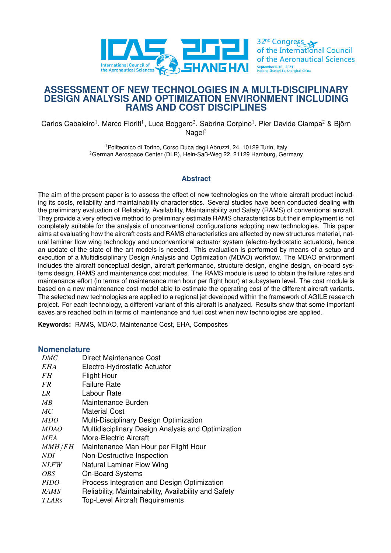

# **ASSESSMENT OF NEW TECHNOLOGIES IN A MULTI-DISCIPLINARY DESIGN ANALYSIS AND OPTIMIZATION ENVIRONMENT INCLUDING RAMS AND COST DISCIPLINES**

Carlos Cabaleiro<sup>1</sup>, Marco Fioriti<sup>1</sup>, Luca Boggero<sup>2</sup>, Sabrina Corpino<sup>1</sup>, Pier Davide Ciampa<sup>2</sup> & Björn  $N$ agel<sup>2</sup>

> <sup>1</sup> Politecnico di Torino, Corso Duca degli Abruzzi, 24, 10129 Turin, Italy <sup>2</sup>German Aerospace Center (DLR), Hein-Saß-Weg 22, 21129 Hamburg, Germany

### **Abstract**

The aim of the present paper is to assess the effect of new technologies on the whole aircraft product including its costs, reliability and maintainability characteristics. Several studies have been conducted dealing with the preliminary evaluation of Reliability, Availability, Maintainability and Safety (RAMS) of conventional aircraft. They provide a very effective method to preliminary estimate RAMS characteristics but their employment is not completely suitable for the analysis of unconventional configurations adopting new technologies. This paper aims at evaluating how the aircraft costs and RAMS characteristics are affected by new structures material, natural laminar flow wing technology and unconventional actuator system (electro-hydrostatic actuators), hence an update of the state of the art models is needed. This evaluation is performed by means of a setup and execution of a Multidisciplinary Design Analysis and Optimization (MDAO) workflow. The MDAO environment includes the aircraft conceptual design, aircraft performance, structure design, engine design, on-board systems design, RAMS and maintenance cost modules. The RAMS module is used to obtain the failure rates and maintenance effort (in terms of maintenance man hour per flight hour) at subsystem level. The cost module is based on a new maintenance cost model able to estimate the operating cost of the different aircraft variants. The selected new technologies are applied to a regional jet developed within the framework of AGILE research project. For each technology, a different variant of this aircraft is analyzed. Results show that some important saves are reached both in terms of maintenance and fuel cost when new technologies are applied.

**Keywords:** RAMS, MDAO, Maintenance Cost, EHA, Composites

#### **Nomenclature**

| Direct Maintenance Cost                               |
|-------------------------------------------------------|
| Electro-Hydrostatic Actuator                          |
| <b>Flight Hour</b>                                    |
| <b>Failure Rate</b>                                   |
| Labour Rate                                           |
| Maintenance Burden                                    |
| Material Cost                                         |
| Multi-Disciplinary Design Optimization                |
| Multidisciplinary Design Analysis and Optimization    |
| More-Electric Aircraft                                |
| Maintenance Man Hour per Flight Hour                  |
| Non-Destructive Inspection                            |
| Natural Laminar Flow Wing                             |
| <b>On-Board Systems</b>                               |
| Process Integration and Design Optimization           |
| Reliability, Maintainability, Availability and Safety |
| <b>Top-Level Aircraft Requirements</b>                |
|                                                       |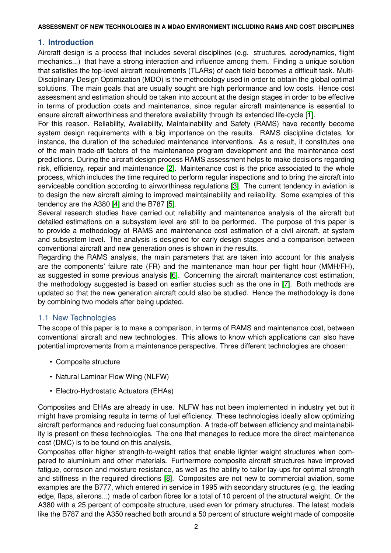# **1. Introduction**

Aircraft design is a process that includes several disciplines (e.g. structures, aerodynamics, flight mechanics...) that have a strong interaction and influence among them. Finding a unique solution that satisfies the top-level aircraft requirements (TLARs) of each field becomes a difficult task. Multi-Disciplinary Design Optimization (MDO) is the methodology used in order to obtain the global optimal solutions. The main goals that are usually sought are high performance and low costs. Hence cost assessment and estimation should be taken into account at the design stages in order to be effective in terms of production costs and maintenance, since regular aircraft maintenance is essential to ensure aircraft airworthiness and therefore availability through its extended life-cycle [\[1\]](#page-12-0).

For this reason, Reliability, Availability, Maintainability and Safety (RAMS) have recently become system design requirements with a big importance on the results. RAMS discipline dictates, for instance, the duration of the scheduled maintenance interventions. As a result, it constitutes one of the main trade-off factors of the maintenance program development and the maintenance cost predictions. During the aircraft design process RAMS assessment helps to make decisions regarding risk, efficiency, repair and maintenance [\[2\]](#page-12-1). Maintenance cost is the price associated to the whole process, which includes the time required to perform regular inspections and to bring the aircraft into serviceable condition according to airworthiness regulations [\[3\]](#page-12-2). The current tendency in aviation is to design the new aircraft aiming to improved maintainability and reliability. Some examples of this tendency are the A380 [\[4\]](#page-12-3) and the B787 [\[5\]](#page-12-4).

Several research studies have carried out reliability and maintenance analysis of the aircraft but detailed estimations on a subsystem level are still to be performed. The purpose of this paper is to provide a methodology of RAMS and maintenance cost estimation of a civil aircraft, at system and subsystem level. The analysis is designed for early design stages and a comparison between conventional aircraft and new generation ones is shown in the results.

Regarding the RAMS analysis, the main parameters that are taken into account for this analysis are the components' failure rate (FR) and the maintenance man hour per flight hour (MMH/FH), as suggested in some previous analysis [\[6\]](#page-12-5). Concerning the aircraft maintenance cost estimation, the methodology suggested is based on earlier studies such as the one in [\[7\]](#page-13-0). Both methods are updated so that the new generation aircraft could also be studied. Hence the methodology is done by combining two models after being updated.

# 1.1 New Technologies

The scope of this paper is to make a comparison, in terms of RAMS and maintenance cost, between conventional aircraft and new technologies. This allows to know which applications can also have potential improvements from a maintenance perspective. Three different technologies are chosen:

- Composite structure
- Natural Laminar Flow Wing (NLFW)
- Electro-Hydrostatic Actuators (EHAs)

Composites and EHAs are already in use. NLFW has not been implemented in industry yet but it might have promising results in terms of fuel efficiency. These technologies ideally allow optimizing aircraft performance and reducing fuel consumption. A trade-off between efficiency and maintainability is present on these technologies. The one that manages to reduce more the direct maintenance cost (DMC) is to be found on this analysis.

Composites offer higher strength-to-weight ratios that enable lighter weight structures when compared to aluminium and other materials. Furthermore composite aircraft structures have improved fatigue, corrosion and moisture resistance, as well as the ability to tailor lay-ups for optimal strength and stiffness in the required directions [\[8\]](#page-13-1). Composites are not new to commercial aviation, some examples are the B777, which entered in service in 1995 with secondary structures (e.g. the leading edge, flaps, ailerons...) made of carbon fibres for a total of 10 percent of the structural weight. Or the A380 with a 25 percent of composite structure, used even for primary structures. The latest models like the B787 and the A350 reached both around a 50 percent of structure weight made of composite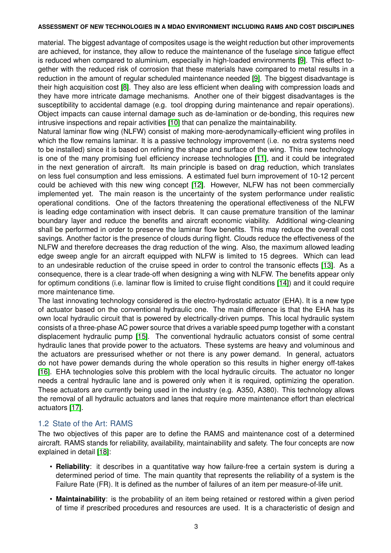material. The biggest advantage of composites usage is the weight reduction but other improvements are achieved, for instance, they allow to reduce the maintenance of the fuselage since fatigue effect is reduced when compared to aluminium, especially in high-loaded environments [\[9\]](#page-13-2). This effect together with the reduced risk of corrosion that these materials have compared to metal results in a reduction in the amount of regular scheduled maintenance needed [\[9\]](#page-13-2). The biggest disadvantage is their high acquisition cost [\[8\]](#page-13-1). They also are less efficient when dealing with compression loads and they have more intricate damage mechanisms. Another one of their biggest disadvantages is the susceptibility to accidental damage (e.g. tool dropping during maintenance and repair operations). Object impacts can cause internal damage such as de-lamination or de-bonding, this requires new intrusive inspections and repair activities [\[10\]](#page-13-3) that can penalize the maintainability.

Natural laminar flow wing (NLFW) consist of making more-aerodynamically-efficient wing profiles in which the flow remains laminar. It is a passive technology improvement (i.e. no extra systems need to be installed) since it is based on refining the shape and surface of the wing. This new technology is one of the many promising fuel efficiency increase technologies [\[11\]](#page-13-4), and it could be integrated in the next generation of aircraft. Its main principle is based on drag reduction, which translates on less fuel consumption and less emissions. A estimated fuel burn improvement of 10-12 percent could be achieved with this new wing concept [\[12\]](#page-13-5). However, NLFW has not been commercially implemented yet. The main reason is the uncertainty of the system performance under realistic operational conditions. One of the factors threatening the operational effectiveness of the NLFW is leading edge contamination with insect debris. It can cause premature transition of the laminar boundary layer and reduce the benefits and aircraft economic viability. Additional wing-cleaning shall be performed in order to preserve the laminar flow benefits. This may reduce the overall cost savings. Another factor is the presence of clouds during flight. Clouds reduce the effectiveness of the NLFW and therefore decreases the drag reduction of the wing. Also, the maximum allowed leading edge sweep angle for an aircraft equipped with NLFW is limited to 15 degrees. Which can lead to an undesirable reduction of the cruise speed in order to control the transonic effects [\[13\]](#page-13-6). As a consequence, there is a clear trade-off when designing a wing with NLFW. The benefits appear only for optimum conditions (i.e. laminar flow is limited to cruise flight conditions [\[14\]](#page-13-7)) and it could require more maintenance time.

The last innovating technology considered is the electro-hydrostatic actuator (EHA). It is a new type of actuator based on the conventional hydraulic one. The main difference is that the EHA has its own local hydraulic circuit that is powered by electrically-driven pumps. This local hydraulic system consists of a three-phase AC power source that drives a variable speed pump together with a constant displacement hydraulic pump [\[15\]](#page-13-8). The conventional hydraulic actuators consist of some central hydraulic lanes that provide power to the actuators. These systems are heavy and voluminous and the actuators are pressurised whether or not there is any power demand. In general, actuators do not have power demands during the whole operation so this results in higher energy off-takes [\[16\]](#page-13-9). EHA technologies solve this problem with the local hydraulic circuits. The actuator no longer needs a central hydraulic lane and is powered only when it is required, optimizing the operation. These actuators are currently being used in the industry (e.g. A350, A380). This technology allows the removal of all hydraulic actuators and lanes that require more maintenance effort than electrical actuators [\[17\]](#page-13-10).

## 1.2 State of the Art: RAMS

The two objectives of this paper are to define the RAMS and maintenance cost of a determined aircraft. RAMS stands for reliability, availability, maintainability and safety. The four concepts are now explained in detail [\[18\]](#page-13-11):

- **Reliability**: it describes in a quantitative way how failure-free a certain system is during a determined period of time. The main quantity that represents the reliability of a system is the Failure Rate (FR). It is defined as the number of failures of an item per measure-of-life unit.
- **Maintainability**: is the probability of an item being retained or restored within a given period of time if prescribed procedures and resources are used. It is a characteristic of design and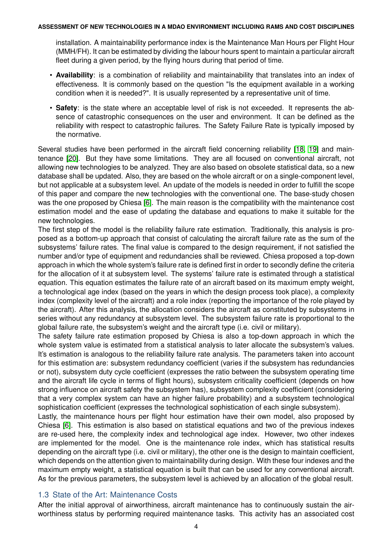installation. A maintainability performance index is the Maintenance Man Hours per Flight Hour (MMH/FH). It can be estimated by dividing the labour hours spent to maintain a particular aircraft fleet during a given period, by the flying hours during that period of time.

- **Availability**: is a combination of reliability and maintainability that translates into an index of effectiveness. It is commonly based on the question "Is the equipment available in a working condition when it is needed?". It is usually represented by a representative unit of time.
- **Safety**: is the state where an acceptable level of risk is not exceeded. It represents the absence of catastrophic consequences on the user and environment. It can be defined as the reliability with respect to catastrophic failures. The Safety Failure Rate is typically imposed by the normative.

Several studies have been performed in the aircraft field concerning reliability [\[18,](#page-13-11) [19\]](#page-13-12) and maintenance [\[20\]](#page-13-13). But they have some limitations. They are all focused on conventional aircraft, not allowing new technologies to be analyzed. They are also based on obsolete statistical data, so a new database shall be updated. Also, they are based on the whole aircraft or on a single-component level, but not applicable at a subsystem level. An update of the models is needed in order to fulfill the scope of this paper and compare the new technologies with the conventional one. The base-study chosen was the one proposed by Chiesa [\[6\]](#page-12-5). The main reason is the compatibility with the maintenance cost estimation model and the ease of updating the database and equations to make it suitable for the new technologies.

The first step of the model is the reliability failure rate estimation. Traditionally, this analysis is proposed as a bottom-up approach that consist of calculating the aircraft failure rate as the sum of the subsystems' failure rates. The final value is compared to the design requirement, if not satisfied the number and/or type of equipment and redundancies shall be reviewed. Chiesa proposed a top-down approach in which the whole system's failure rate is defined first in order to secondly define the criteria for the allocation of it at subsystem level. The systems' failure rate is estimated through a statistical equation. This equation estimates the failure rate of an aircraft based on its maximum empty weight, a technological age index (based on the years in which the design process took place), a complexity index (complexity level of the aircraft) and a role index (reporting the importance of the role played by the aircraft). After this analysis, the allocation considers the aircraft as constituted by subsystems in series without any redundancy at subsystem level. The subsystem failure rate is proportional to the global failure rate, the subsystem's weight and the aircraft type (i.e. civil or military).

The safety failure rate estimation proposed by Chiesa is also a top-down approach in which the whole system value is estimated from a statistical analysis to later allocate the subsystem's values. It's estimation is analogous to the reliability failure rate analysis. The parameters taken into account for this estimation are: subsystem redundancy coefficient (varies if the subsystem has redundancies or not), subsystem duty cycle coefficient (expresses the ratio between the subsystem operating time and the aircraft life cycle in terms of flight hours), subsystem criticality coefficient (depends on how strong influence on aircraft safety the subsystem has), subsystem complexity coefficient (considering that a very complex system can have an higher failure probability) and a subsystem technological sophistication coefficient (expresses the technological sophistication of each single subsystem).

Lastly, the maintenance hours per flight hour estimation have their own model, also proposed by Chiesa [\[6\]](#page-12-5). This estimation is also based on statistical equations and two of the previous indexes are re-used here, the complexity index and technological age index. However, two other indexes are implemented for the model. One is the maintenance role index, which has statistical results depending on the aircraft type (i.e. civil or military), the other one is the design to maintain coefficient, which depends on the attention given to maintainability during design. With these four indexes and the maximum empty weight, a statistical equation is built that can be used for any conventional aircraft. As for the previous parameters, the subsystem level is achieved by an allocation of the global result.

# 1.3 State of the Art: Maintenance Costs

After the initial approval of airworthiness, aircraft maintenance has to continuously sustain the airworthiness status by performing required maintenance tasks. This activity has an associated cost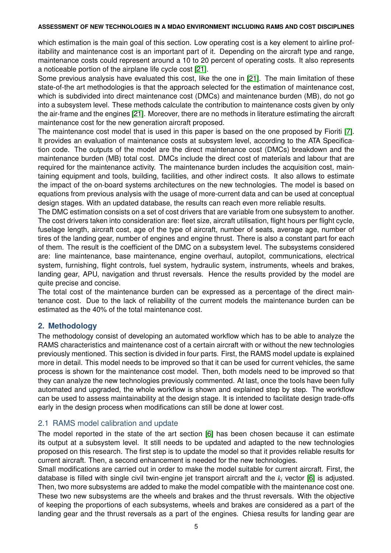which estimation is the main goal of this section. Low operating cost is a key element to airline profitability and maintenance cost is an important part of it. Depending on the aircraft type and range, maintenance costs could represent around a 10 to 20 percent of operating costs. It also represents a noticeable portion of the airplane life cycle cost [\[21\]](#page-13-14).

Some previous analysis have evaluated this cost, like the one in [\[21\]](#page-13-14). The main limitation of these state-of-the art methodologies is that the approach selected for the estimation of maintenance cost, which is subdivided into direct maintenance cost (DMCs) and maintenance burden (MB), do not go into a subsystem level. These methods calculate the contribution to maintenance costs given by only the air-frame and the engines [\[21\]](#page-13-14). Moreover, there are no methods in literature estimating the aircraft maintenance cost for the new generation aircraft proposed.

The maintenance cost model that is used in this paper is based on the one proposed by Fioriti [\[7\]](#page-13-0). It provides an evaluation of maintenance costs at subsystem level, according to the ATA Specification code. The outputs of the model are the direct maintenance cost (DMCs) breakdown and the maintenance burden (MB) total cost. DMCs include the direct cost of materials and labour that are required for the maintenance activity. The maintenance burden includes the acquisition cost, maintaining equipment and tools, building, facilities, and other indirect costs. It also allows to estimate the impact of the on-board systems architectures on the new technologies. The model is based on equations from previous analysis with the usage of more-current data and can be used at conceptual design stages. With an updated database, the results can reach even more reliable results.

The DMC estimation consists on a set of cost drivers that are variable from one subsystem to another. The cost drivers taken into consideration are: fleet size, aircraft utilisation, flight hours per flight cycle, fuselage length, aircraft cost, age of the type of aircraft, number of seats, average age, number of tires of the landing gear, number of engines and engine thrust. There is also a constant part for each of them. The result is the coefficient of the DMC on a subsystem level. The subsystems considered are: line maintenance, base maintenance, engine overhaul, autopilot, communications, electrical system, furnishing, flight controls, fuel system, hydraulic system, instruments, wheels and brakes, landing gear, APU, navigation and thrust reversals. Hence the results provided by the model are quite precise and concise.

The total cost of the maintenance burden can be expressed as a percentage of the direct maintenance cost. Due to the lack of reliability of the current models the maintenance burden can be estimated as the 40% of the total maintenance cost.

# **2. Methodology**

The methodology consist of developing an automated workflow which has to be able to analyze the RAMS characteristics and maintenance cost of a certain aircraft with or without the new technologies previously mentioned. This section is divided in four parts. First, the RAMS model update is explained more in detail. This model needs to be improved so that it can be used for current vehicles, the same process is shown for the maintenance cost model. Then, both models need to be improved so that they can analyze the new technologies previously commented. At last, once the tools have been fully automated and upgraded, the whole workflow is shown and explained step by step. The workflow can be used to assess maintainability at the design stage. It is intended to facilitate design trade-offs early in the design process when modifications can still be done at lower cost.

# 2.1 RAMS model calibration and update

The model reported in the state of the art section [\[6\]](#page-12-5) has been chosen because it can estimate its output at a subsystem level. It still needs to be updated and adapted to the new technologies proposed on this research. The first step is to update the model so that it provides reliable results for current aircraft. Then, a second enhancement is needed for the new technologies.

Small modifications are carried out in order to make the model suitable for current aircraft. First, the database is filled with single civil twin-engine jet transport aircraft and the *k<sup>i</sup>* vector [\[6\]](#page-12-5) is adjusted. Then, two more subsystems are added to make the model compatible with the maintenance cost one. These two new subsystems are the wheels and brakes and the thrust reversals. With the objective of keeping the proportions of each subsystems, wheels and brakes are considered as a part of the landing gear and the thrust reversals as a part of the engines. Chiesa results for landing gear are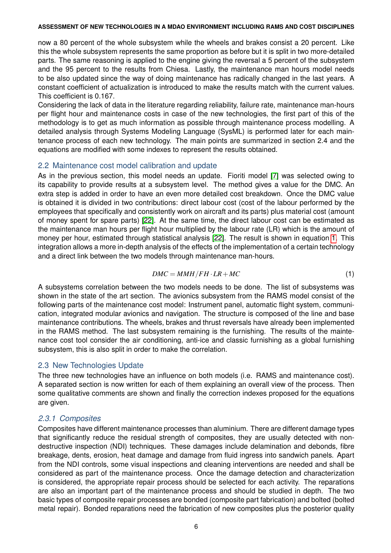now a 80 percent of the whole subsystem while the wheels and brakes consist a 20 percent. Like this the whole subsystem represents the same proportion as before but it is split in two more-detailed parts. The same reasoning is applied to the engine giving the reversal a 5 percent of the subsystem and the 95 percent to the results from Chiesa. Lastly, the maintenance man hours model needs to be also updated since the way of doing maintenance has radically changed in the last years. A constant coefficient of actualization is introduced to make the results match with the current values. This coefficient is 0.167.

Considering the lack of data in the literature regarding reliability, failure rate, maintenance man-hours per flight hour and maintenance costs in case of the new technologies, the first part of this of the methodology is to get as much information as possible through maintenance process modelling. A detailed analysis through Systems Modeling Language (SysML) is performed later for each maintenance process of each new technology. The main points are summarized in section 2.4 and the equations are modified with some indexes to represent the results obtained.

## 2.2 Maintenance cost model calibration and update

As in the previous section, this model needs an update. Fioriti model [\[7\]](#page-13-0) was selected owing to its capability to provide results at a subsystem level. The method gives a value for the DMC. An extra step is added in order to have an even more detailed cost breakdown. Once the DMC value is obtained it is divided in two contributions: direct labour cost (cost of the labour performed by the employees that specifically and consistently work on aircraft and its parts) plus material cost (amount of money spent for spare parts) [\[22\]](#page-13-15). At the same time, the direct labour cost can be estimated as the maintenance man hours per flight hour multiplied by the labour rate (LR) which is the amount of money per hour, estimated through statistical analysis [\[22\]](#page-13-15). The result is shown in equation [1.](#page-5-0) This integration allows a more in-depth analysis of the effects of the implementation of a certain technology and a direct link between the two models through maintenance man-hours.

$$
DMC = MMH/FH \cdot LR + MC \tag{1}
$$

<span id="page-5-0"></span>A subsystems correlation between the two models needs to be done. The list of subsystems was shown in the state of the art section. The avionics subsystem from the RAMS model consist of the following parts of the maintenance cost model: Instrument panel, automatic flight system, communication, integrated modular avionics and navigation. The structure is composed of the line and base maintenance contributions. The wheels, brakes and thrust reversals have already been implemented in the RAMS method. The last subsystem remaining is the furnishing. The results of the maintenance cost tool consider the air conditioning, anti-ice and classic furnishing as a global furnishing subsystem, this is also split in order to make the correlation.

## 2.3 New Technologies Update

The three new technologies have an influence on both models (i.e. RAMS and maintenance cost). A separated section is now written for each of them explaining an overall view of the process. Then some qualitative comments are shown and finally the correction indexes proposed for the equations are given.

# *2.3.1 Composites*

Composites have different maintenance processes than aluminium. There are different damage types that significantly reduce the residual strength of composites, they are usually detected with nondestructive inspection (NDI) techniques. These damages include delamination and debonds, fibre breakage, dents, erosion, heat damage and damage from fluid ingress into sandwich panels. Apart from the NDI controls, some visual inspections and cleaning interventions are needed and shall be considered as part of the maintenance process. Once the damage detection and characterization is considered, the appropriate repair process should be selected for each activity. The reparations are also an important part of the maintenance process and should be studied in depth. The two basic types of composite repair processes are bonded (composite part fabrication) and bolted (bolted metal repair). Bonded reparations need the fabrication of new composites plus the posterior quality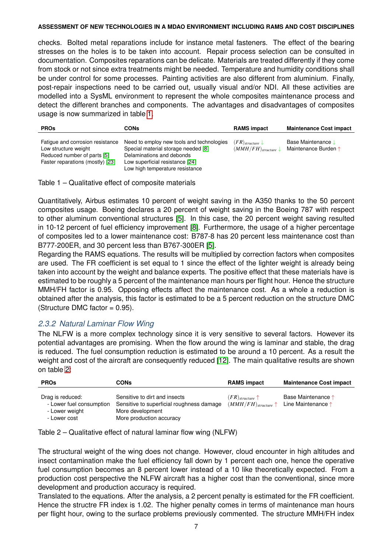checks. Bolted metal reparations include for instance metal fasteners. The effect of the bearing stresses on the holes is to be taken into account. Repair process selection can be consulted in documentation. Composites reparations can be delicate. Materials are treated differently if they come from stock or not since extra treatments might be needed. Temperature and humidity conditions shall be under control for some processes. Painting activities are also different from aluminium. Finally, post-repair inspections need to be carried out, usually visual and/or NDI. All these activities are modelled into a SysML environment to represent the whole composites maintenance process and detect the different branches and components. The advantages and disadvantages of composites usage is now summarized in table [1.](#page-6-0)

<span id="page-6-0"></span>

| <b>PROs</b>                                                                                                                 | CONs                                                                                                                                                                                | <b>RAMS impact</b>                                             | <b>Maintenance Cost impact</b>                  |
|-----------------------------------------------------------------------------------------------------------------------------|-------------------------------------------------------------------------------------------------------------------------------------------------------------------------------------|----------------------------------------------------------------|-------------------------------------------------|
| Fatigue and corrosion resistance<br>Low structure weight<br>Reduced number of parts [5]<br>Faster reparations (mostly) [23] | Need to employ new tools and technologies<br>Special material storage needed [8]<br>Delaminations and debonds<br>Low superficial resistance [24]<br>Low high temperature resistance | $(FR)$ <sub>structure</sub><br>$(MMH/FH)$ <sub>structure</sub> | <b>Base Maintenance</b><br>Maintenance Burden ↑ |

Table 1 – Qualitative effect of composite materials

Quantitatively, Airbus estimates 10 percent of weight saving in the A350 thanks to the 50 percent composites usage. Boeing declares a 20 percent of weight saving in the Boeing 787 with respect to other aluminum conventional structures [\[5\]](#page-12-4). In this case, the 20 percent weight saving resulted in 10-12 percent of fuel efficiency improvement [\[8\]](#page-13-1). Furthermore, the usage of a higher percentage of composites led to a lower maintenance cost: B787-8 has 20 percent less maintenance cost than B777-200ER, and 30 percent less than B767-300ER [\[5\]](#page-12-4).

Regarding the RAMS equations. The results will be multiplied by correction factors when composites are used. The FR coefficient is set equal to 1 since the effect of the lighter weight is already being taken into account by the weight and balance experts. The positive effect that these materials have is estimated to be roughly a 5 percent of the maintenance man hours per flight hour. Hence the structure MMH/FH factor is 0.95. Opposing effects affect the maintenance cost. As a whole a reduction is obtained after the analysis, this factor is estimated to be a 5 percent reduction on the structure DMC  $(Structure DMC factor = 0.95).$ 

## *2.3.2 Natural Laminar Flow Wing*

The NLFW is a more complex technology since it is very sensitive to several factors. However its potential advantages are promising. When the flow around the wing is laminar and stable, the drag is reduced. The fuel consumption reduction is estimated to be around a 10 percent. As a result the weight and cost of the aircraft are consequently reduced [\[12\]](#page-13-5). The main qualitative results are shown on table [2:](#page-6-1)

<span id="page-6-1"></span>

| <b>PROs</b>                                                                    | CONs                                                                                                                       | <b>RAMS impact</b>                                                                   | <b>Maintenance Cost impact</b>           |
|--------------------------------------------------------------------------------|----------------------------------------------------------------------------------------------------------------------------|--------------------------------------------------------------------------------------|------------------------------------------|
| Drag is reduced:<br>- Lower fuel consumption<br>- Lower weight<br>- Lower cost | Sensitive to dirt and insects<br>Sensitive to superficial roughness damage<br>More development<br>More production accuracy | $(FR)$ <sub>structure</sub> $\uparrow$<br>$(MMH/FH)$ <sub>structure</sub> $\uparrow$ | Base Maintenance 1<br>Line Maintenance ↑ |

Table 2 – Qualitative effect of natural laminar flow wing (NLFW)

The structural weight of the wing does not change. However, cloud encounter in high altitudes and insect contamination make the fuel efficiency fall down by 1 percent each one, hence the operative fuel consumption becomes an 8 percent lower instead of a 10 like theoretically expected. From a production cost perspective the NLFW aircraft has a higher cost than the conventional, since more development and production accuracy is required.

Translated to the equations. After the analysis, a 2 percent penalty is estimated for the FR coefficient. Hence the structre FR index is 1.02. The higher penalty comes in terms of maintenance man hours per flight hour, owing to the surface problems previously commented. The structure MMH/FH index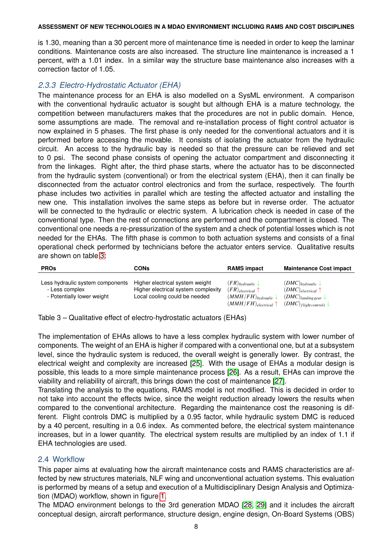is 1.30, meaning than a 30 percent more of maintenance time is needed in order to keep the laminar conditions. Maintenance costs are also increased. The structure line maintenance is increased a 1 percent, with a 1.01 index. In a similar way the structure base maintenance also increases with a correction factor of 1.05.

# *2.3.3 Electro-Hydrostatic Actuator (EHA)*

The maintenance process for an EHA is also modelled on a SysML environment. A comparison with the conventional hydraulic actuator is sought but although EHA is a mature technology, the competition between manufacturers makes that the procedures are not in public domain. Hence, some assumptions are made. The removal and re-installation process of flight control actuator is now explained in 5 phases. The first phase is only needed for the conventional actuators and it is performed before accessing the movable. It consists of isolating the actuator from the hydraulic circuit. An access to the hydraulic bay is needed so that the pressure can be relieved and set to 0 psi. The second phase consists of opening the actuator compartment and disconnecting it from the linkages. Right after, the third phase starts, where the actuator has to be disconnected from the hydraulic system (conventional) or from the electrical system (EHA), then it can finally be disconnected from the actuator control electronics and from the surface, respectively. The fourth phase includes two activities in parallel which are testing the affected actuator and installing the new one. This installation involves the same steps as before but in reverse order. The actuator will be connected to the hydraulic or electric system. A lubrication check is needed in case of the conventional type. Then the rest of connections are performed and the compartment is closed. The conventional one needs a re-pressurization of the system and a check of potential losses which is not needed for the EHAs. The fifth phase is common to both actuation systems and consists of a final operational check performed by technicians before the actuator enters service. Qualitative results are shown on table [3:](#page-7-0)

<span id="page-7-0"></span>

| <b>PROs</b>                                                                      | CONs                                                                                                    | <b>RAMS impact</b>                                                                                                    | <b>Maintenance Cost impact</b>                                                                                                  |
|----------------------------------------------------------------------------------|---------------------------------------------------------------------------------------------------------|-----------------------------------------------------------------------------------------------------------------------|---------------------------------------------------------------------------------------------------------------------------------|
| Less hydraulic system components<br>- Less complex<br>- Potentially lower weight | Higher electrical system weight<br>Higher electrical system complexity<br>Local cooling could be needed | $(FR)_{hyd^i} \downarrow$<br>$(FR)_{electrical}$<br>$(MMH/FH)_{hyd^i}$<br>$(MMH/FH)$ <sub>electrical</sub> $\uparrow$ | $(DMC)_{hyd^i}$<br>$(DMC)_{electrical}$ $\uparrow$<br>$(DMC)$ landing gear $\downarrow$<br>$(DMC)$ flight controls $\downarrow$ |

Table 3 – Qualitative effect of electro-hydrostatic actuators (EHAs)

The implementation of EHAs allows to have a less complex hydraulic system with lower number of components. The weight of an EHA is higher if compared with a conventional one, but at a subsystem level, since the hydraulic system is reduced, the overall weight is generally lower. By contrast, the electrical weight and complexity are increased [\[25\]](#page-13-18). With the usage of EHAs a modular design is possible, this leads to a more simple maintenance process [\[26\]](#page-13-19). As a result, EHAs can improve the viability and reliability of aircraft, this brings down the cost of maintenance [\[27\]](#page-13-20).

Translating the analysis to the equations, RAMS model is not modified. This is decided in order to not take into account the effects twice, since the weight reduction already lowers the results when compared to the conventional architecture. Regarding the maintenance cost the reasoning is different. Flight controls DMC is multiplied by a 0.95 factor, while hydraulic system DMC is reduced by a 40 percent, resulting in a 0.6 index. As commented before, the electrical system maintenance increases, but in a lower quantity. The electrical system results are multiplied by an index of 1.1 if EHA technologies are used.

## 2.4 Workflow

This paper aims at evaluating how the aircraft maintenance costs and RAMS characteristics are affected by new structures materials, NLF wing and unconventional actuation systems. This evaluation is performed by means of a setup and execution of a Multidisciplinary Design Analysis and Optimization (MDAO) workflow, shown in figure [1.](#page-8-0)

The MDAO environment belongs to the 3rd generation MDAO [\[28,](#page-13-21) [29\]](#page-13-22) and it includes the aircraft conceptual design, aircraft performance, structure design, engine design, On-Board Systems (OBS)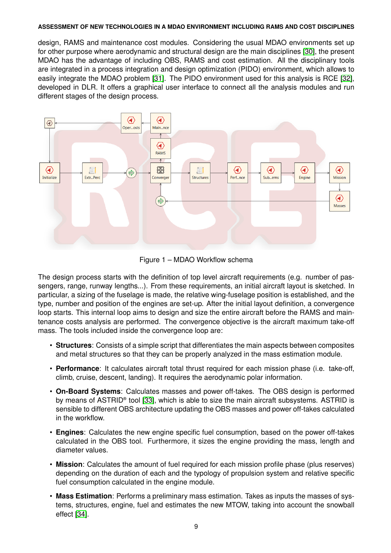design, RAMS and maintenance cost modules. Considering the usual MDAO environments set up for other purpose where aerodynamic and structural design are the main disciplines [\[30\]](#page-13-23), the present MDAO has the advantage of including OBS, RAMS and cost estimation. All the disciplinary tools are integrated in a process integration and design optimization (PIDO) environment, which allows to easily integrate the MDAO problem [\[31\]](#page-13-24). The PIDO environment used for this analysis is RCE [\[32\]](#page-13-25), developed in DLR. It offers a graphical user interface to connect all the analysis modules and run different stages of the design process.

<span id="page-8-0"></span>

Figure 1 – MDAO Workflow schema

The design process starts with the definition of top level aircraft requirements (e.g. number of passengers, range, runway lengths...). From these requirements, an initial aircraft layout is sketched. In particular, a sizing of the fuselage is made, the relative wing-fuselage position is established, and the type, number and position of the engines are set-up. After the initial layout definition, a convergence loop starts. This internal loop aims to design and size the entire aircraft before the RAMS and maintenance costs analysis are performed. The convergence objective is the aircraft maximum take-off mass. The tools included inside the convergence loop are:

- **Structures**: Consists of a simple script that differentiates the main aspects between composites and metal structures so that they can be properly analyzed in the mass estimation module.
- **Performance**: It calculates aircraft total thrust required for each mission phase (i.e. take-off, climb, cruise, descent, landing). It requires the aerodynamic polar information.
- **On-Board Systems**: Calculates masses and power off-takes. The OBS design is performed by means of ASTRID® tool [\[33\]](#page-13-26), which is able to size the main aircraft subsystems. ASTRID is sensible to different OBS architecture updating the OBS masses and power off-takes calculated in the workflow.
- **Engines**: Calculates the new engine specific fuel consumption, based on the power off-takes calculated in the OBS tool. Furthermore, it sizes the engine providing the mass, length and diameter values.
- **Mission**: Calculates the amount of fuel required for each mission profile phase (plus reserves) depending on the duration of each and the typology of propulsion system and relative specific fuel consumption calculated in the engine module.
- **Mass Estimation**: Performs a preliminary mass estimation. Takes as inputs the masses of systems, structures, engine, fuel and estimates the new MTOW, taking into account the snowball effect [\[34\]](#page-13-27).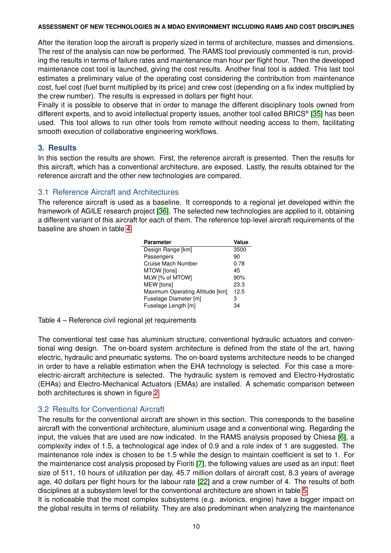After the iteration loop the aircraft is properly sized in terms of architecture, masses and dimensions. The rest of the analysis can now be performed. The RAMS tool previously commented is run, providing the results in terms of failure rates and maintenance man hour per flight hour. Then the developed maintenance cost tool is launched, giving the cost results. Another final tool is added. This last tool estimates a preliminary value of the operating cost considering the contribution from maintenance cost, fuel cost (fuel burnt multiplied by its price) and crew cost (depending on a fix index multiplied by the crew number). The results is expressed in dollars per flight hour.

Finally it is possible to observe that in order to manage the different disciplinary tools owned from different experts, and to avoid intellectual property issues, another tool called BRICS® [\[35\]](#page-13-28) has been used. This tool allows to run other tools from remote without needing access to them, facilitating smooth execution of collaborative engineering workflows.

## **3. Results**

In this section the results are shown. First, the reference aircraft is presented. Then the results for this aircraft, which has a conventional architecture, are exposed. Lastly, the results obtained for the reference aircraft and the other new technologies are compared.

## 3.1 Reference Aircraft and Architectures

<span id="page-9-0"></span>The reference aircraft is used as a baseline. It corresponds to a regional jet developed within the framework of AGILE research project [\[36\]](#page-13-29). The selected new technologies are applied to it, obtaining a different variant of this aircraft for each of them. The reference top-level aircraft requirements of the baseline are shown in table [4.](#page-9-0)

| <b>Parameter</b>                | Value |
|---------------------------------|-------|
| Design Range [km]               | 3500  |
| Passengers                      | 90    |
| Cruise Mach Number              | 0.78  |
| MTOW [tons]                     | 45    |
| MLW [% of MTOW]                 | 90%   |
| <b>MEW</b> [tons]               | 23.3  |
| Maximum Operating Altitude [km] | 12.5  |
| Fuselage Diameter [m]           | з     |
| Fuselage Length [m]             | 34    |
|                                 |       |

Table 4 – Reference civil regional jet requirements

The conventional test case has aluminium structure, conventional hydraulic actuators and conventional wing design. The on-board system architecture is defined from the state of the art, having electric, hydraulic and pneumatic systems. The on-board systems architecture needs to be changed in order to have a reliable estimation when the EHA technology is selected. For this case a moreelectric-aircraft architecture is selected. The hydraulic system is removed and Electro-Hydrostatic (EHAs) and Electro-Mechanical Actuators (EMAs) are installed. A schematic comparison between both architectures is shown in figure [2.](#page-10-0)

# 3.2 Results for Conventional Aircraft

The results for the conventional aircraft are shown in this section. This corresponds to the baseline aircraft with the conventional architecture, aluminium usage and a conventional wing. Regarding the input, the values that are used are now indicated. In the RAMS analysis proposed by Chiesa [\[6\]](#page-12-5), a complexity index of 1.5, a technological age index of 0.9 and a role index of 1 are suggested. The maintenance role index is chosen to be 1.5 while the design to maintain coefficient is set to 1. For the maintenance cost analysis proposed by Fioriti [\[7\]](#page-13-0), the following values are used as an input: fleet size of 511, 10 hours of utilization per day, 45.7 million dollars of aircraft cost, 8.3 years of average age, 40 dollars per flight hours for the labour rate [\[22\]](#page-13-15) and a crew number of 4. The results of both disciplines at a subsystem level for the conventional architecture are shown in table [5.](#page-10-1)

It is noticeable that the most complex subsystems (e.g. avionics, engine) have a bigger impact on the global results in terms of reliability. They are also predominant when analyzing the maintenance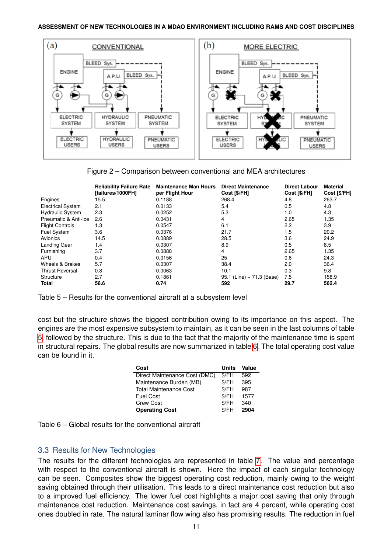<span id="page-10-0"></span>

Figure 2 – Comparison between conventional and MEA architectures

<span id="page-10-1"></span>

|                          | <b>Reliability Failure Rate</b><br>[failures/1000FH] | <b>Maintenance Man Hours</b><br>per Flight Hour | <b>Direct Maintenance</b><br>Cost [\$/FH] | <b>Direct Labour</b><br>Cost [\$/FH] | Material<br>Cost [\$/FH] |
|--------------------------|------------------------------------------------------|-------------------------------------------------|-------------------------------------------|--------------------------------------|--------------------------|
| Engines                  | 15.5                                                 | 0.1188                                          | 268.4                                     | 4.8                                  | 263.7                    |
| <b>Electrical System</b> | 2.1                                                  | 0.0133                                          | 5.4                                       | 0.5                                  | 4.8                      |
| <b>Hydraulic System</b>  | 2.3                                                  | 0.0252                                          | 5.3                                       | 1.0                                  | 4.3                      |
| Pneumatic & Anti-Ice     | 2.6                                                  | 0.0431                                          | 4                                         | 2.65                                 | 1.35                     |
| <b>Flight Controls</b>   | 1.3                                                  | 0.0547                                          | 6.1                                       | 2.2                                  | 3.9                      |
| <b>Fuel System</b>       | 3.6                                                  | 0.0376                                          | 21.7                                      | 1.5                                  | 20.2                     |
| Avionics                 | 14.5                                                 | 0.0889                                          | 28.5                                      | 3.6                                  | 24.9                     |
| Landing Gear             | 1.4                                                  | 0.0307                                          | 8.9                                       | 0.5                                  | 8.5                      |
| Furnishing               | 3.7                                                  | 0.0888                                          | 4                                         | 2.65                                 | 1.35                     |
| APU                      | 0.4                                                  | 0.0156                                          | 25                                        | 0.6                                  | 24.3                     |
| Wheels & Brakes          | 5.7                                                  | 0.0307                                          | 38.4                                      | 2.0                                  | 36.4                     |
| <b>Thrust Reversal</b>   | 0.8                                                  | 0.0063                                          | 10.1                                      | 0.3                                  | 9.8                      |
| Structure                | 2.7                                                  | 0.1861                                          | $95.1$ (Line) + 71.3 (Base)               | 7.5                                  | 158.9                    |
| Total                    | 56.6                                                 | 0.74                                            | 592                                       | 29.7                                 | 562.4                    |

Table 5 – Results for the conventional aircraft at a subsystem level

<span id="page-10-2"></span>cost but the structure shows the biggest contribution owing to its importance on this aspect. The engines are the most expensive subsystem to maintain, as it can be seen in the last columns of table [5,](#page-10-1) followed by the structure. This is due to the fact that the majority of the maintenance time is spent in structural repairs. The global results are now summarized in table [6.](#page-10-2) The total operating cost value can be found in it.

| Cost                          | Units | Value |
|-------------------------------|-------|-------|
| Direct Maintenance Cost (DMC) | \$/FH | 592   |
| Maintenance Burden (MB)       | \$/FH | 395   |
| <b>Total Maintenance Cost</b> | \$/FH | 987   |
| <b>Fuel Cost</b>              | \$/FH | 1577  |
| Crew Cost                     | \$/FH | 340   |
| <b>Operating Cost</b>         | \$/FH | 2904  |



# 3.3 Results for New Technologies

The results for the different technologies are represented in table [7.](#page-11-0) The value and percentage with respect to the conventional aircraft is shown. Here the impact of each singular technology can be seen. Composites show the biggest operating cost reduction, mainly owing to the weight saving obtained through their utilisation. This leads to a direct maintenance cost reduction but also to a improved fuel efficiency. The lower fuel cost highlights a major cost saving that only through maintenance cost reduction. Maintenance cost savings, in fact are 4 percent, while operating cost ones doubled in rate. The natural laminar flow wing also has promising results. The reduction in fuel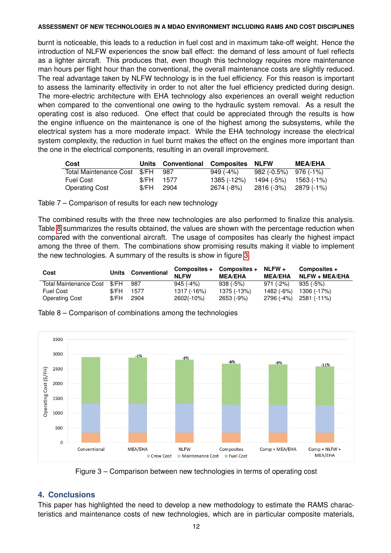burnt is noticeable, this leads to a reduction in fuel cost and in maximum take-off weight. Hence the introduction of NLFW experiences the snow ball effect: the demand of less amount of fuel reflects as a lighter aircraft. This produces that, even though this technology requires more maintenance man hours per flight hour than the conventional, the overall maintenance costs are slightly reduced. The real advantage taken by NLFW technology is in the fuel efficiency. For this reason is important to assess the laminarity effectivity in order to not alter the fuel efficiency predicted during design. The more-electric architecture with EHA technology also experiences an overall weight reduction when compared to the conventional one owing to the hydraulic system removal. As a result the operating cost is also reduced. One effect that could be appreciated through the results is how the engine influence on the maintenance is one of the highest among the subsystems, while the electrical system has a more moderate impact. While the EHA technology increase the electrical system complexity, the reduction in fuel burnt makes the effect on the engines more important than the one in the electrical components, resulting in an overall improvement.

<span id="page-11-0"></span>

| Cost                             |             | Units Conventional Composites NLFW |                                        |                       | <b>MEA/EHA</b> |
|----------------------------------|-------------|------------------------------------|----------------------------------------|-----------------------|----------------|
| Total Maintenance Cost \$/FH 987 |             |                                    | 949 (-4%)                              | 982 (-0.5%) 976 (-1%) |                |
| Fuel Cost                        | $$/FH$ 1577 |                                    | 1385 (-12%)                            | 1494 (-5%) 1563 (-1%) |                |
| <b>Operating Cost</b>            | \$/FH 2904  |                                    | $2674 (-8%)$ $2816 (-3%)$ $2879 (+1%)$ |                       |                |

Table 7 – Comparison of results for each new technology

The combined results with the three new technologies are also performed to finalize this analysis. Table [8](#page-11-1) summarizes the results obtained, the values are shown with the percentage reduction when compared with the conventional aircraft. The usage of composites has clearly the highest impact among the three of them. The combinations show promising results making it viable to implement the new technologies. A summary of the results is show in figure [3.](#page-11-2)

<span id="page-11-1"></span>

| Cost                         |       | Units Conventional | Composites +<br><b>NI FW</b> | Composites + $NLFW +$<br><b>MEA/EHA</b> | <b>MEA/EHA</b> | Composites +<br><b>NLFW + MEA/EHA</b> |
|------------------------------|-------|--------------------|------------------------------|-----------------------------------------|----------------|---------------------------------------|
| Total Maintenance Cost \$/FH |       | 987                | 945 (-4%)                    | $938$ (-5%)                             | 971 (-2%)      | 935 (-5%)                             |
| <b>Fuel Cost</b>             | \$/FH | 1577               | 1317 (-16%)                  | 1375 (-13%)                             | 1482 (-6%)     | 1306 (-17%)                           |
| <b>Operating Cost</b>        | \$/FH | 2904               | 2602(-10%)                   | 2653 (-9%)                              |                | 2796 (-4%) 2581 (-11%)                |

<span id="page-11-2"></span>

Table 8 – Comparison of combinations among the technologies

Figure 3 – Comparison between new technologies in terms of operating cost

# **4. Conclusions**

This paper has highlighted the need to develop a new methodology to estimate the RAMS characteristics and maintenance costs of new technologies, which are in particular composite materials,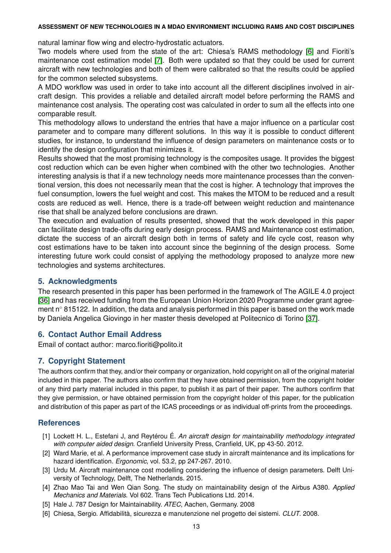natural laminar flow wing and electro-hydrostatic actuators.

Two models where used from the state of the art: Chiesa's RAMS methodology [\[6\]](#page-12-5) and Fioriti's maintenance cost estimation model [\[7\]](#page-13-0). Both were updated so that they could be used for current aircraft with new technologies and both of them were calibrated so that the results could be applied for the common selected subsystems.

A MDO workflow was used in order to take into account all the different disciplines involved in aircraft design. This provides a reliable and detailed aircraft model before performing the RAMS and maintenance cost analysis. The operating cost was calculated in order to sum all the effects into one comparable result.

This methodology allows to understand the entries that have a major influence on a particular cost parameter and to compare many different solutions. In this way it is possible to conduct different studies, for instance, to understand the influence of design parameters on maintenance costs or to identify the design configuration that minimizes it.

Results showed that the most promising technology is the composites usage. It provides the biggest cost reduction which can be even higher when combined with the other two technologies. Another interesting analysis is that if a new technology needs more maintenance processes than the conventional version, this does not necessarily mean that the cost is higher. A technology that improves the fuel consumption, lowers the fuel weight and cost. This makes the MTOM to be reduced and a result costs are reduced as well. Hence, there is a trade-off between weight reduction and maintenance rise that shall be analyzed before conclusions are drawn.

The execution and evaluation of results presented, showed that the work developed in this paper can facilitate design trade-offs during early design process. RAMS and Maintenance cost estimation, dictate the success of an aircraft design both in terms of safety and life cycle cost, reason why cost estimations have to be taken into account since the beginning of the design process. Some interesting future work could consist of applying the methodology proposed to analyze more new technologies and systems architectures.

# **5. Acknowledgments**

The research presented in this paper has been performed in the framework of The AGILE 4.0 project [\[36\]](#page-13-29) and has received funding from the European Union Horizon 2020 Programme under grant agreement n $\degree$  815122. In addition, the data and analysis performed in this paper is based on the work made by Daniela Angelica Giovingo in her master thesis developed at Politecnico di Torino [\[37\]](#page-13-30).

# **6. Contact Author Email Address**

Email of contact author: marco.fioriti@polito.it

# **7. Copyright Statement**

The authors confirm that they, and/or their company or organization, hold copyright on all of the original material included in this paper. The authors also confirm that they have obtained permission, from the copyright holder of any third party material included in this paper, to publish it as part of their paper. The authors confirm that they give permission, or have obtained permission from the copyright holder of this paper, for the publication and distribution of this paper as part of the ICAS proceedings or as individual off-prints from the proceedings.

# **References**

- <span id="page-12-0"></span>[1] Lockett H. L., Estefani J, and Reytérou É. *An aircraft design for maintainability methodology integrated with computer aided design*. Cranfield University Press, Cranfield, UK, pp 43-50. 2012.
- <span id="page-12-1"></span>[2] Ward Marie, et al. A performance improvement case study in aircraft maintenance and its implications for hazard identification. *Ergonomic*, vol. 53.2, pp 247-267. 2010.
- <span id="page-12-2"></span>[3] Urdu M. Aircraft maintenance cost modelling considering the influence of design parameters. Delft University of Technology, Delft, The Netherlands. 2015.
- <span id="page-12-3"></span>[4] Zhao Mao Tai and Wen Qian Song. The study on maintainability design of the Airbus A380. *Applied Mechanics and Materials*. Vol 602. Trans Tech Publications Ltd. 2014.
- <span id="page-12-4"></span>[5] Hale J. 787 Design for Maintainability. *ATEC*, Aachen, Germany. 2008
- <span id="page-12-5"></span>[6] Chiesa, Sergio. Affidabilità, sicurezza e manutenzione nel progetto dei sistemi. *CLUT*. 2008.